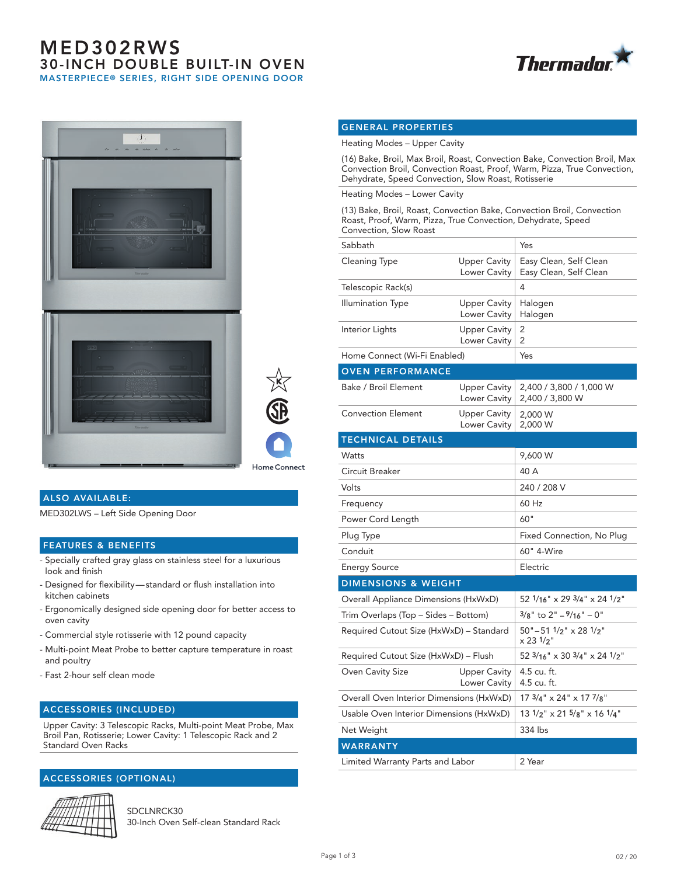# MED302RWS 30-INCH DOUBLE BUILT-IN OVEN MASTERPIECE® SERIES, RIGHT SIDE OPENING DOOR







### ALSO AVAILABLE:

MED302LWS – Left Side Opening Door

#### FEATURES & BENEFITS

- Specially crafted gray glass on stainless steel for a luxurious look and finish
- Designed for flexibility standard or flush installation into kitchen cabinets
- Ergonomically designed side opening door for better access to oven cavity
- Commercial style rotisserie with 12 pound capacity
- Multi-point Meat Probe to better capture temperature in roast and poultry
- Fast 2-hour self clean mode

#### ACCESSORIES (INCLUDED)

Upper Cavity: 3 Telescopic Racks, Multi-point Meat Probe, Max Broil Pan, Rotisserie; Lower Cavity: 1 Telescopic Rack and 2 Standard Oven Racks

## ACCESSORIES (OPTIONAL)



SDCLNRCK30 30-Inch Oven Self-clean Standard Rack

### GENERAL PROPERTIES

Heating Modes – Upper Cavity

(16) Bake, Broil, Max Broil, Roast, Convection Bake, Convection Broil, Max Convection Broil, Convection Roast, Proof, Warm, Pizza, True Convection, Dehydrate, Speed Convection, Slow Roast, Rotisserie

Heating Modes – Lower Cavity

(13) Bake, Broil, Roast, Convection Bake, Convection Broil, Convection Roast, Proof, Warm, Pizza, True Convection, Dehydrate, Speed Convection, Slow Roast

| Sabbath                                  |                                            | Yes                                                          |
|------------------------------------------|--------------------------------------------|--------------------------------------------------------------|
| Cleaning Type                            | <b>Upper Cavity</b><br>Lower Cavity        | Easy Clean, Self Clean<br>Easy Clean, Self Clean             |
| Telescopic Rack(s)                       |                                            | 4                                                            |
| Illumination Type                        | <b>Upper Cavity</b><br>Lower Cavity        | Halogen<br>Halogen                                           |
| Interior Lights                          | <b>Upper Cavity</b><br><b>Lower Cavity</b> | 2<br>2                                                       |
| Home Connect (Wi-Fi Enabled)             |                                            | Yes                                                          |
| <b>OVEN PERFORMANCE</b>                  |                                            |                                                              |
| Bake / Broil Element                     | <b>Upper Cavity</b><br>Lower Cavity        | 2,400 / 3,800 / 1,000 W<br>2,400 / 3,800 W                   |
| <b>Convection Element</b>                | <b>Upper Cavity</b><br>Lower Cavity        | 2,000 W<br>2,000 W                                           |
| <b>TECHNICAL DETAILS</b>                 |                                            |                                                              |
| Watts                                    |                                            | 9,600 W                                                      |
| Circuit Breaker                          |                                            | 40 A                                                         |
| Volts                                    |                                            | 240 / 208 V                                                  |
| Frequency                                |                                            | 60 Hz                                                        |
| Power Cord Length                        |                                            | 60"                                                          |
| Plug Type                                |                                            | Fixed Connection, No Plug                                    |
| Conduit                                  |                                            | 60" 4-Wire                                                   |
| <b>Energy Source</b>                     |                                            | Electric                                                     |
| <b>DIMENSIONS &amp; WEIGHT</b>           |                                            |                                                              |
| Overall Appliance Dimensions (HxWxD)     |                                            | 52 1/16" x 29 3/4" x 24 1/2"                                 |
| Trim Overlaps (Top – Sides – Bottom)     |                                            | $3/8$ " to 2" $-9/16$ " $-0$ "                               |
| Required Cutout Size (HxWxD) - Standard  |                                            | $50" - 51'2" \times 28'1/2"$<br>$\times$ 23 $1/2$ "          |
| Required Cutout Size (HxWxD) - Flush     |                                            | 52 $3/16$ " x 30 $3/4$ " x 24 $1/2$ "                        |
| <b>Oven Cavity Size</b>                  | <b>Upper Cavity</b><br>Lower Cavity        | 4.5 cu. ft.<br>4.5 cu. ft.                                   |
| Overall Oven Interior Dimensions (HxWxD) |                                            | 17 3/4" x 24" x 17 7/8"                                      |
| Usable Oven Interior Dimensions (HxWxD)  |                                            | $13 \frac{1}{2}$ " x 21 $\frac{5}{8}$ " x 16 $\frac{1}{4}$ " |
| Net Weight                               |                                            | 334 lbs                                                      |
| <b>WARRANTY</b>                          |                                            |                                                              |
| Limited Warranty Parts and Labor         |                                            | 2 Year                                                       |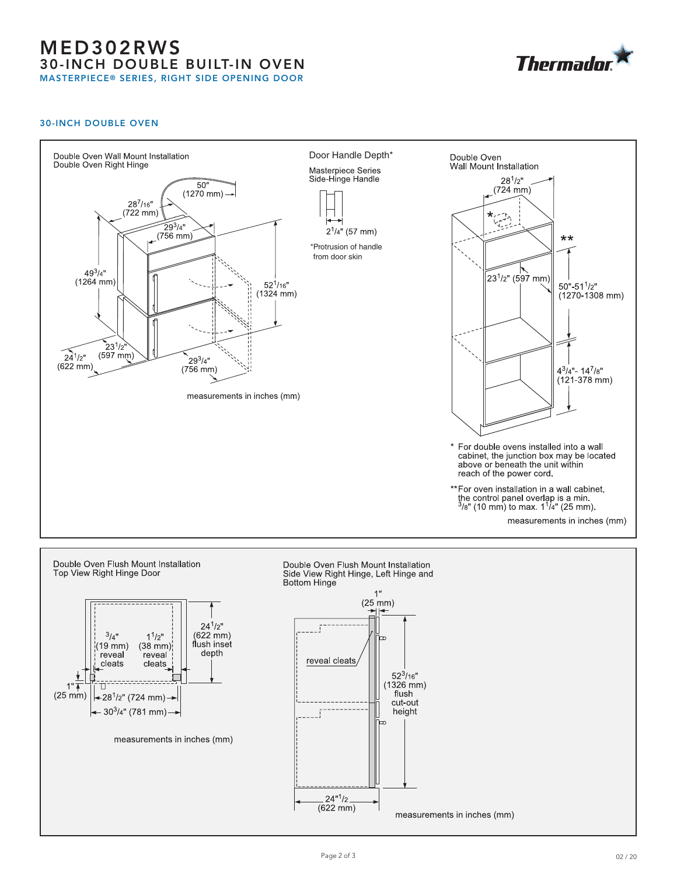# MED302RWS 30-INCH DOUBLE BUILT-IN OVEN MASTERPIECE® SERIES, RIGHT SIDE OPENING DOOR



### 30-INCH DOUBLE OVEN



 $(622 \, mm)$ 

measurements in inches (mm)